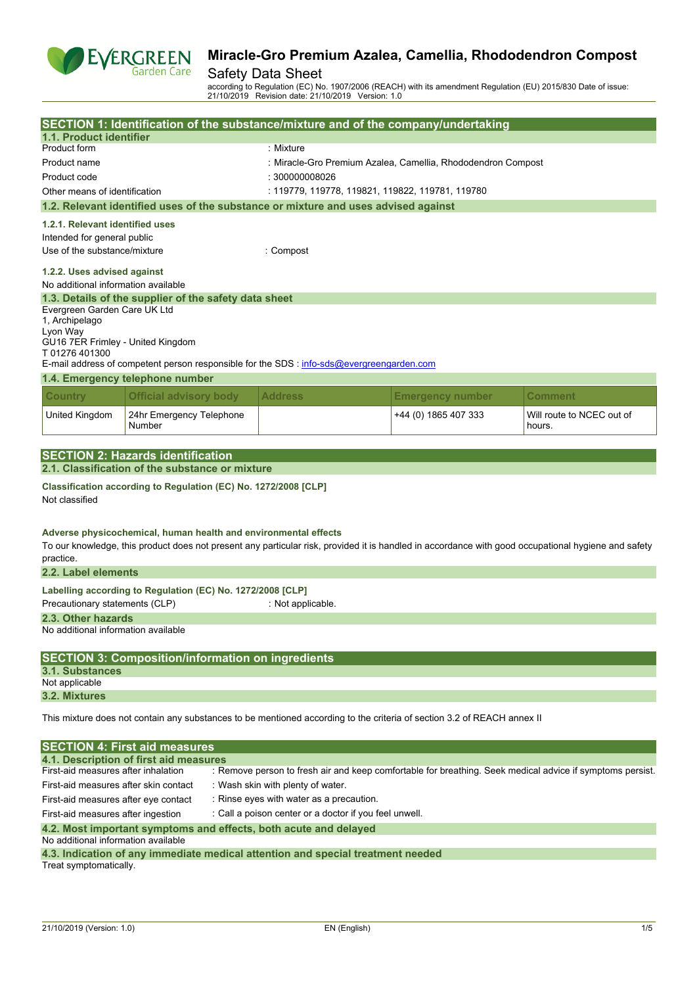

#### Safety Data Sheet

according to Regulation (EC) No. 1907/2006 (REACH) with its amendment Regulation (EU) 2015/830 Date of issue: 21/10/2019 Revision date: 21/10/2019 Version: 1.0

|                                                                                              |                                                                  | SECTION 1: Identification of the substance/mixture and of the company/undertaking                                                                   |                                                              |                                                                                                           |  |  |
|----------------------------------------------------------------------------------------------|------------------------------------------------------------------|-----------------------------------------------------------------------------------------------------------------------------------------------------|--------------------------------------------------------------|-----------------------------------------------------------------------------------------------------------|--|--|
| 1.1. Product identifier                                                                      |                                                                  |                                                                                                                                                     |                                                              |                                                                                                           |  |  |
| Product form                                                                                 |                                                                  | : Mixture                                                                                                                                           |                                                              |                                                                                                           |  |  |
| Product name                                                                                 |                                                                  |                                                                                                                                                     | : Miracle-Gro Premium Azalea, Camellia, Rhododendron Compost |                                                                                                           |  |  |
| Product code                                                                                 |                                                                  | : 300000008026                                                                                                                                      |                                                              |                                                                                                           |  |  |
| Other means of identification                                                                |                                                                  | : 119779, 119778, 119821, 119822, 119781, 119780                                                                                                    |                                                              |                                                                                                           |  |  |
|                                                                                              |                                                                  | 1.2. Relevant identified uses of the substance or mixture and uses advised against                                                                  |                                                              |                                                                                                           |  |  |
| 1.2.1. Relevant identified uses                                                              |                                                                  |                                                                                                                                                     |                                                              |                                                                                                           |  |  |
| Intended for general public                                                                  |                                                                  |                                                                                                                                                     |                                                              |                                                                                                           |  |  |
| Use of the substance/mixture                                                                 |                                                                  | : Compost                                                                                                                                           |                                                              |                                                                                                           |  |  |
|                                                                                              |                                                                  |                                                                                                                                                     |                                                              |                                                                                                           |  |  |
| 1.2.2. Uses advised against<br>No additional information available                           |                                                                  |                                                                                                                                                     |                                                              |                                                                                                           |  |  |
|                                                                                              | 1.3. Details of the supplier of the safety data sheet            |                                                                                                                                                     |                                                              |                                                                                                           |  |  |
| Evergreen Garden Care UK Ltd                                                                 |                                                                  |                                                                                                                                                     |                                                              |                                                                                                           |  |  |
| 1, Archipelago                                                                               |                                                                  |                                                                                                                                                     |                                                              |                                                                                                           |  |  |
| Lyon Way                                                                                     |                                                                  |                                                                                                                                                     |                                                              |                                                                                                           |  |  |
| GU16 7ER Frimley - United Kingdom<br>T01276401300                                            |                                                                  |                                                                                                                                                     |                                                              |                                                                                                           |  |  |
|                                                                                              |                                                                  | E-mail address of competent person responsible for the SDS : info-sds@evergreengarden.com                                                           |                                                              |                                                                                                           |  |  |
|                                                                                              | 1.4. Emergency telephone number                                  |                                                                                                                                                     |                                                              |                                                                                                           |  |  |
|                                                                                              |                                                                  |                                                                                                                                                     |                                                              |                                                                                                           |  |  |
| <b>Country</b>                                                                               | <b>Official advisory body</b>                                    | <b>Address</b>                                                                                                                                      | <b>Emergency number</b>                                      | Comment                                                                                                   |  |  |
| United Kingdom                                                                               | 24hr Emergency Telephone<br>Number                               |                                                                                                                                                     | +44 (0) 1865 407 333                                         | Will route to NCEC out of<br>hours.                                                                       |  |  |
|                                                                                              |                                                                  |                                                                                                                                                     |                                                              |                                                                                                           |  |  |
|                                                                                              | <b>SECTION 2: Hazards identification</b>                         |                                                                                                                                                     |                                                              |                                                                                                           |  |  |
|                                                                                              | 2.1. Classification of the substance or mixture                  |                                                                                                                                                     |                                                              |                                                                                                           |  |  |
| Not classified                                                                               | Classification according to Regulation (EC) No. 1272/2008 [CLP]  |                                                                                                                                                     |                                                              |                                                                                                           |  |  |
| practice.                                                                                    | Adverse physicochemical, human health and environmental effects  | To our knowledge, this product does not present any particular risk, provided it is handled in accordance with good occupational hygiene and safety |                                                              |                                                                                                           |  |  |
| 2.2. Label elements                                                                          |                                                                  |                                                                                                                                                     |                                                              |                                                                                                           |  |  |
|                                                                                              | Labelling according to Regulation (EC) No. 1272/2008 [CLP]       |                                                                                                                                                     |                                                              |                                                                                                           |  |  |
| Precautionary statements (CLP)                                                               |                                                                  | : Not applicable.                                                                                                                                   |                                                              |                                                                                                           |  |  |
| 2.3. Other hazards                                                                           |                                                                  |                                                                                                                                                     |                                                              |                                                                                                           |  |  |
| No additional information available                                                          |                                                                  |                                                                                                                                                     |                                                              |                                                                                                           |  |  |
|                                                                                              |                                                                  |                                                                                                                                                     |                                                              |                                                                                                           |  |  |
|                                                                                              | <b>SECTION 3: Composition/information on ingredients</b>         |                                                                                                                                                     |                                                              |                                                                                                           |  |  |
| 3.1. Substances<br>Not applicable                                                            |                                                                  |                                                                                                                                                     |                                                              |                                                                                                           |  |  |
| 3.2. Mixtures                                                                                |                                                                  |                                                                                                                                                     |                                                              |                                                                                                           |  |  |
|                                                                                              |                                                                  |                                                                                                                                                     |                                                              |                                                                                                           |  |  |
|                                                                                              |                                                                  | This mixture does not contain any substances to be mentioned according to the criteria of section 3.2 of REACH annex II                             |                                                              |                                                                                                           |  |  |
|                                                                                              | <b>SECTION 4: First aid measures</b>                             |                                                                                                                                                     |                                                              |                                                                                                           |  |  |
| First-aid measures after inhalation                                                          | 4.1. Description of first aid measures                           |                                                                                                                                                     |                                                              | : Remove person to fresh air and keep comfortable for breathing. Seek medical advice if symptoms persist. |  |  |
|                                                                                              |                                                                  |                                                                                                                                                     |                                                              |                                                                                                           |  |  |
| First-aid measures after skin contact<br>: Wash skin with plenty of water.                   |                                                                  |                                                                                                                                                     |                                                              |                                                                                                           |  |  |
| : Rinse eyes with water as a precaution.<br>First-aid measures after eye contact             |                                                                  |                                                                                                                                                     |                                                              |                                                                                                           |  |  |
| First-aid measures after ingestion<br>: Call a poison center or a doctor if you feel unwell. |                                                                  |                                                                                                                                                     |                                                              |                                                                                                           |  |  |
| No additional information available                                                          | 4.2. Most important symptoms and effects, both acute and delayed |                                                                                                                                                     |                                                              |                                                                                                           |  |  |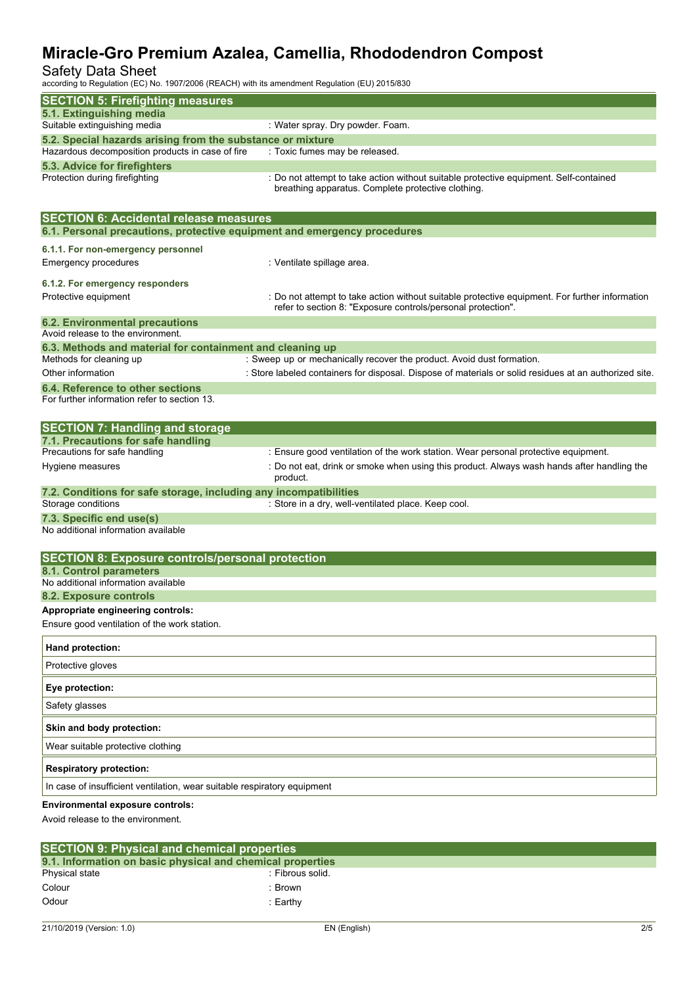#### Safety Data Sheet

according to Regulation (EC) No. 1907/2006 (REACH) with its amendment Regulation (EU) 2015/830

| according to Regulation (EC) No. 1907/2000 (REACH) With its amendment Regulation (EO) 2019/630                            |                                                                                                                                                                |
|---------------------------------------------------------------------------------------------------------------------------|----------------------------------------------------------------------------------------------------------------------------------------------------------------|
| <b>SECTION 5: Firefighting measures</b>                                                                                   |                                                                                                                                                                |
| 5.1. Extinguishing media<br>Suitable extinguishing media                                                                  | : Water spray. Dry powder. Foam.                                                                                                                               |
| 5.2. Special hazards arising from the substance or mixture                                                                |                                                                                                                                                                |
| Hazardous decomposition products in case of fire                                                                          | : Toxic fumes may be released.                                                                                                                                 |
| 5.3. Advice for firefighters                                                                                              |                                                                                                                                                                |
| Protection during firefighting                                                                                            | : Do not attempt to take action without suitable protective equipment. Self-contained<br>breathing apparatus. Complete protective clothing.                    |
| <b>SECTION 6: Accidental release measures</b><br>6.1. Personal precautions, protective equipment and emergency procedures |                                                                                                                                                                |
| 6.1.1. For non-emergency personnel                                                                                        |                                                                                                                                                                |
| Emergency procedures                                                                                                      | : Ventilate spillage area.                                                                                                                                     |
| 6.1.2. For emergency responders                                                                                           |                                                                                                                                                                |
| Protective equipment                                                                                                      | : Do not attempt to take action without suitable protective equipment. For further information<br>refer to section 8: "Exposure controls/personal protection". |
| <b>6.2. Environmental precautions</b>                                                                                     |                                                                                                                                                                |
| Avoid release to the environment.<br>6.3. Methods and material for containment and cleaning up                            |                                                                                                                                                                |
| Methods for cleaning up                                                                                                   | : Sweep up or mechanically recover the product. Avoid dust formation.                                                                                          |
| Other information                                                                                                         | : Store labeled containers for disposal. Dispose of materials or solid residues at an authorized site.                                                         |
| 6.4. Reference to other sections                                                                                          |                                                                                                                                                                |
| For further information refer to section 13.                                                                              |                                                                                                                                                                |
| <b>SECTION 7: Handling and storage</b>                                                                                    |                                                                                                                                                                |
| 7.1. Precautions for safe handling<br>Precautions for safe handling                                                       | : Ensure good ventilation of the work station. Wear personal protective equipment.                                                                             |
| Hygiene measures                                                                                                          | : Do not eat, drink or smoke when using this product. Always wash hands after handling the<br>product.                                                         |
| 7.2. Conditions for safe storage, including any incompatibilities<br>Storage conditions                                   | : Store in a dry, well-ventilated place. Keep cool.                                                                                                            |
| 7.3. Specific end use(s)<br>No additional information available                                                           |                                                                                                                                                                |
| <b>SECTION 8: Exposure controls/personal protection</b>                                                                   |                                                                                                                                                                |
| 8.1. Control parameters                                                                                                   |                                                                                                                                                                |
| No additional information available                                                                                       |                                                                                                                                                                |
| 8.2. Exposure controls<br>Appropriate engineering controls:                                                               |                                                                                                                                                                |
| Ensure good ventilation of the work station.                                                                              |                                                                                                                                                                |
| Hand protection:                                                                                                          |                                                                                                                                                                |
| Protective gloves                                                                                                         |                                                                                                                                                                |
| Eye protection:                                                                                                           |                                                                                                                                                                |
| Safety glasses                                                                                                            |                                                                                                                                                                |
| Skin and body protection:                                                                                                 |                                                                                                                                                                |
| Wear suitable protective clothing                                                                                         |                                                                                                                                                                |
| <b>Respiratory protection:</b>                                                                                            |                                                                                                                                                                |
| In case of insufficient ventilation, wear suitable respiratory equipment                                                  |                                                                                                                                                                |
| <b>Environmental exposure controls:</b><br>Avoid release to the environment.                                              |                                                                                                                                                                |
|                                                                                                                           |                                                                                                                                                                |

| <b>SECTION 9: Physical and chemical properties</b>         |                  |  |  |
|------------------------------------------------------------|------------------|--|--|
| 9.1. Information on basic physical and chemical properties |                  |  |  |
| Physical state                                             | : Fibrous solid. |  |  |
| Colour                                                     | Brown            |  |  |
| Odour                                                      | :Earthv          |  |  |
|                                                            |                  |  |  |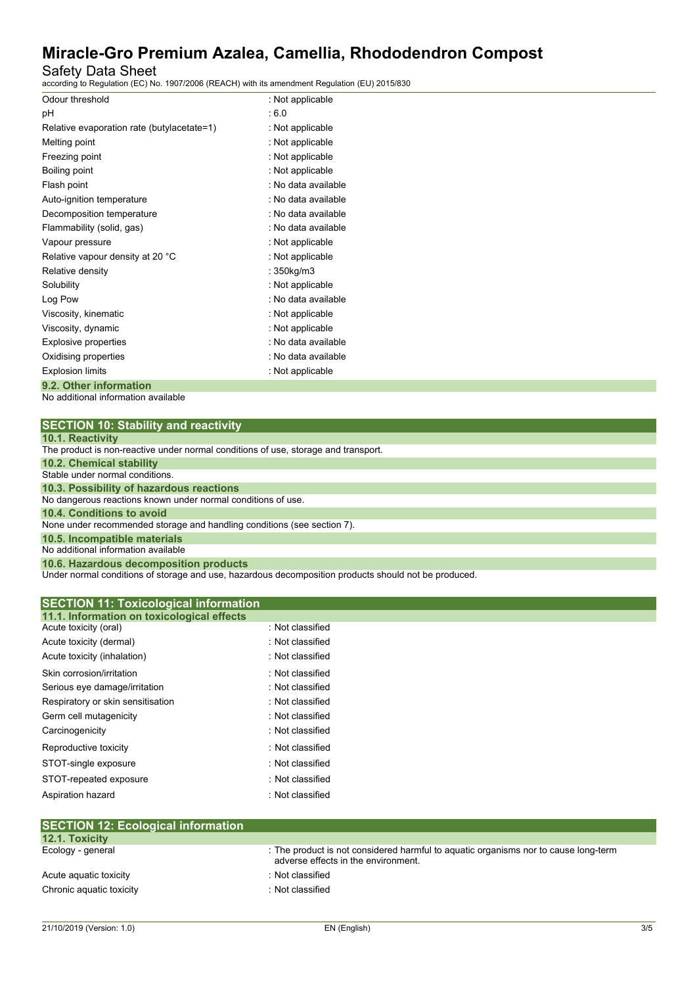### Safety Data Sheet

according to Regulation (EC) No. 1907/2006 (REACH) with its amendment Regulation (EU) 2015/830

| Odour threshold                            | : Not applicable    |
|--------------------------------------------|---------------------|
| рH                                         | .6.0                |
| Relative evaporation rate (butylacetate=1) | : Not applicable    |
| Melting point                              | : Not applicable    |
| Freezing point                             | : Not applicable    |
| Boiling point                              | : Not applicable    |
| Flash point                                | : No data available |
| Auto-ignition temperature                  | : No data available |
| Decomposition temperature                  | : No data available |
| Flammability (solid, gas)                  | : No data available |
| Vapour pressure                            | : Not applicable    |
| Relative vapour density at 20 °C           | : Not applicable    |
| Relative density                           | : 350kg/m3          |
| Solubility                                 | : Not applicable    |
| Log Pow                                    | : No data available |
| Viscosity, kinematic                       | : Not applicable    |
| Viscosity, dynamic                         | : Not applicable    |
| Explosive properties                       | : No data available |
| Oxidising properties                       | : No data available |
| <b>Explosion limits</b>                    | : Not applicable    |
| 9.2. Other information                     |                     |

No additional information available

| SECTION 10: Stability and reactivity |  |
|--------------------------------------|--|
| $\sim$ $\sim$ $\sim$ $\sim$          |  |

| 10.1. Reactivity                                                                                                                                                                          |
|-------------------------------------------------------------------------------------------------------------------------------------------------------------------------------------------|
| The product is non-reactive under normal conditions of use, storage and transport.                                                                                                        |
| <b>10.2. Chemical stability</b>                                                                                                                                                           |
| Stable under normal conditions.                                                                                                                                                           |
| 10.3. Possibility of hazardous reactions                                                                                                                                                  |
| No dangerous reactions known under normal conditions of use.                                                                                                                              |
| 10.4. Conditions to avoid                                                                                                                                                                 |
| None under recommended storage and handling conditions (see section 7).                                                                                                                   |
| 10.5. Incompatible materials                                                                                                                                                              |
| No additional information available                                                                                                                                                       |
| 10.6. Hazardous decomposition products                                                                                                                                                    |
| The decomposition of the component of the contract the conditional contract the contract of the distribution of the contract distribution of the contract distribution of the contract of |

Under normal conditions of storage and use, hazardous decomposition products should not be produced.

| 11.1. Information on toxicological effects<br>Acute toxicity (oral) | : Not classified |  |
|---------------------------------------------------------------------|------------------|--|
| Acute toxicity (dermal)                                             | : Not classified |  |
|                                                                     | : Not classified |  |
| Acute toxicity (inhalation)                                         |                  |  |
| Skin corrosion/irritation                                           | : Not classified |  |
| Serious eye damage/irritation                                       | : Not classified |  |
| Respiratory or skin sensitisation                                   | : Not classified |  |
| Germ cell mutagenicity                                              | : Not classified |  |
| Carcinogenicity                                                     | : Not classified |  |
| Reproductive toxicity                                               | : Not classified |  |
| STOT-single exposure                                                | : Not classified |  |
| STOT-repeated exposure                                              | : Not classified |  |
| Aspiration hazard                                                   | : Not classified |  |

| <b>12.1. Toxicity</b>    |                                                                                                                            |
|--------------------------|----------------------------------------------------------------------------------------------------------------------------|
| Ecology - general        | : The product is not considered harmful to aquatic organisms nor to cause long-term<br>adverse effects in the environment. |
| Acute aguatic toxicity   | : Not classified                                                                                                           |
| Chronic aquatic toxicity | : Not classified                                                                                                           |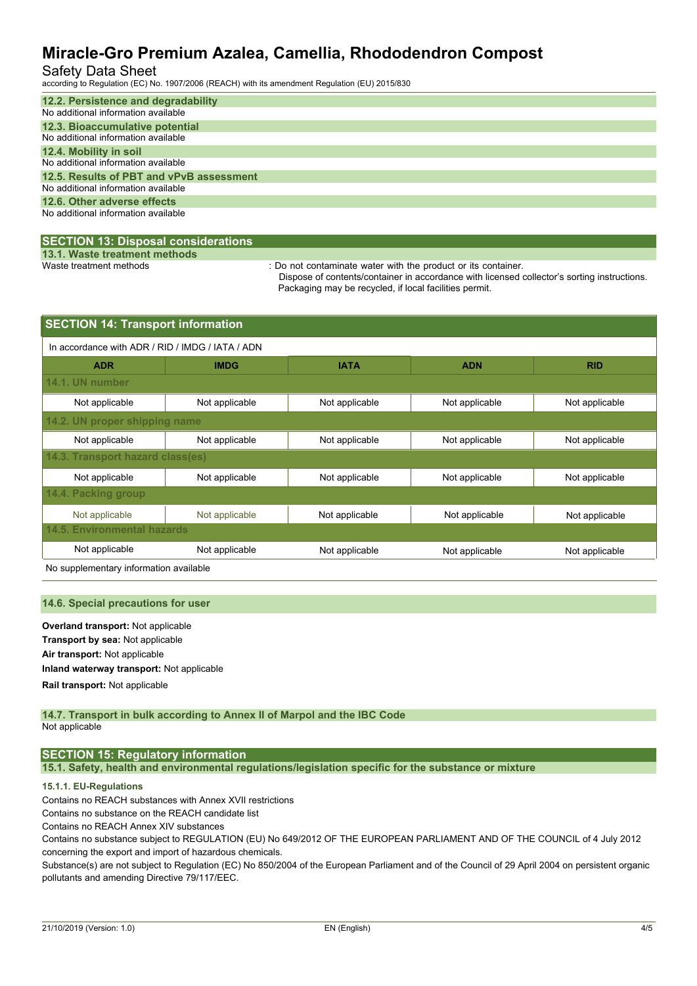### Safety Data Sheet

according to Regulation (EC) No. 1907/2006 (REACH) with its amendment Regulation (EU) 2015/830

| 12.2. Persistence and degradability      |
|------------------------------------------|
| No additional information available      |
| 12.3. Bioaccumulative potential          |
| No additional information available      |
| 12.4. Mobility in soil                   |
| No additional information available      |
| 12.5. Results of PBT and vPvB assessment |
| No additional information available      |
| 12.6. Other adverse effects              |
| No additional information available      |
|                                          |

#### **SECTION 13: Disposal considerations**

**13.1. Waste treatment methods**

: Do not contaminate water with the product or its container.

Dispose of contents/container in accordance with licensed collector's sorting instructions. Packaging may be recycled, if local facilities permit.

| <b>SECTION 14: Transport information</b>         |                               |                |                |                |  |  |
|--------------------------------------------------|-------------------------------|----------------|----------------|----------------|--|--|
| In accordance with ADR / RID / IMDG / IATA / ADN |                               |                |                |                |  |  |
| <b>ADR</b>                                       | <b>IMDG</b>                   | <b>IATA</b>    | <b>ADN</b>     | <b>RID</b>     |  |  |
| 14.1. UN number                                  |                               |                |                |                |  |  |
| Not applicable                                   | Not applicable                | Not applicable | Not applicable | Not applicable |  |  |
|                                                  | 14.2. UN proper shipping name |                |                |                |  |  |
| Not applicable                                   | Not applicable                | Not applicable | Not applicable | Not applicable |  |  |
| 14.3. Transport hazard class(es)                 |                               |                |                |                |  |  |
| Not applicable                                   | Not applicable                | Not applicable | Not applicable | Not applicable |  |  |
| 14.4. Packing group                              |                               |                |                |                |  |  |
| Not applicable                                   | Not applicable                | Not applicable | Not applicable | Not applicable |  |  |
| <b>14.5. Environmental hazards</b>               |                               |                |                |                |  |  |
| Not applicable                                   | Not applicable                | Not applicable | Not applicable | Not applicable |  |  |

No supplementary information available

#### **14.6. Special precautions for user**

**Overland transport:** Not applicable **Transport by sea:** Not applicable **Air transport:** Not applicable **Inland waterway transport:** Not applicable **Rail.transport:** Not applicable

#### **14.7. Transport in bulk according to Annex II of Marpol and the IBC Code** Not applicable

#### **SECTION 15: Regulatory information**

**15.1. Safety, health and environmental regulations/legislation specific for the substance or mixture**

#### **15.1.1. EU-Regulations**

Contains no REACH substances with Annex XVII restrictions

Contains no substance on the REACH candidate list

Contains no REACH Annex XIV substances

Contains no substance subject to REGULATION (EU) No 649/2012 OF THE EUROPEAN PARLIAMENT AND OF THE COUNCIL of 4 July 2012 concerning the export and import of hazardous chemicals.

Substance(s) are not subject to Regulation (EC) No 850/2004 of the European Parliament and of the Council of 29 April 2004 on persistent organic pollutants and amending Directive 79/117/EEC.